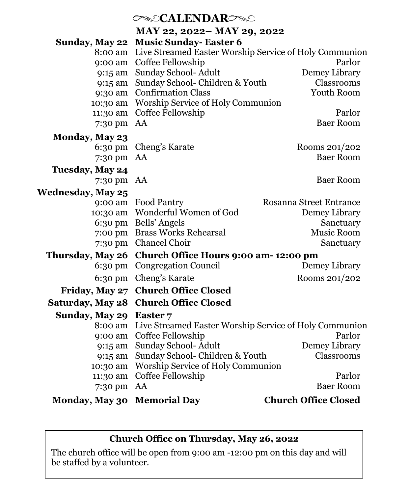## *CALENDARC* **MAY 22, 2022– MAY 29, 2022 Sunday, May 22 Music Sunday- Easter 6** 8:00 am Live Streamed Easter Worship Service of Holy Communion 9:00 am Coffee Fellowship Parlor 9:15 am Sunday School- Adult Demey Library 9:15 am Sunday School- Children & Youth Classrooms 9:30 am Confirmation Class Youth Room 10:30 am Worship Service of Holy Communion 11:30 am Coffee Fellowship Parlor 7:30 pm AA Baer Room **Monday, May 23** 6:30 pm Cheng's Karate Rooms 201/202 7:30 pm AA Baer Room **Tuesday, May 24** 7:30 pm AA Baer Room **Wednesday, May 25** 9:00 am Food Pantry Rosanna Street Entrance 10:30 am Wonderful Women of God Demey Library 6:30 pm Bells' Angels Sanctuary 7:00 pm Brass Works Rehearsal Music Room 7:30 pm Chancel Choir Sanctuary **Thursday, May 26 Church Office Hours 9:00 am- 12:00 pm** 6:30 pm Congregation Council Demey Library 6:30 pm Cheng's Karate Rooms 201/202 **Friday, May 27 Church Office Closed Saturday, May 28 Church Office Closed Sunday, May 29 Easter 7** 8:00 am Live Streamed Easter Worship Service of Holy Communion 9:00 am Coffee Fellowship Parlor 9:15 am Sunday School- Adult Demey Library 9:15 am Sunday School- Children & Youth Classrooms 10:30 am Worship Service of Holy Communion 11:30 am Coffee Fellowship Parlor 7:30 pm AA Baer Room

**Monday, May 30 Memorial Day Church Office Closed**

#### **Church Office on Thursday, May 26, 2022**

The church office will be open from 9:00 am -12:00 pm on this day and will be staffed by a volunteer.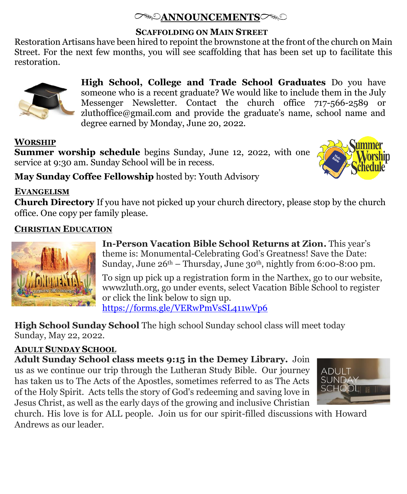# **ANNOUNCEMENTS**

#### **SCAFFOLDING ON MAIN STREET**

Restoration Artisans have been hired to repoint the brownstone at the front of the church on Main Street. For the next few months, you will see scaffolding that has been set up to facilitate this restoration.



**High School, College and Trade School Graduates** Do you have someone who is a recent graduate? We would like to include them in the July Messenger Newsletter. Contact the church office 717-566-2589 or zluthoffice@gmail.com and provide the graduate's name, school name and degree earned by Monday, June 20, 2022.

## **WORSHIP**

**Summer worship schedule** begins Sunday, June 12, 2022, with one service at 9:30 am. Sunday School will be in recess.



**May Sunday Coffee Fellowship** hosted by: Youth Advisory

## **EVANGELISM**

**Church Directory** If you have not picked up your church directory, please stop by the church office. One copy per family please.

## **CHRISTIAN EDUCATION**



**In-Person Vacation Bible School Returns at Zion.** This year's theme is: Monumental-Celebrating God's Greatness! Save the Date: Sunday, June  $26<sup>th</sup> - Thursday$ , June  $30<sup>th</sup>$ , nightly from 6:00-8:00 pm.

To sign up pick up a registration form in the Narthex, go to our website, wwwzluth.org, go under events, select Vacation Bible School to register or click the link below to sign up. <https://forms.gle/VERwPmVsSL411wVp6>

**High School Sunday School** The high school Sunday school class will meet today Sunday, May 22, 2022.

# **ADULT SUNDAY SCHOOL**

**Adult Sunday School class meets 9:15 in the Demey Library.** Join

us as we continue our trip through the Lutheran Study Bible. Our journey has taken us to The Acts of the Apostles, sometimes referred to as The Acts of the Holy Spirit. Acts tells the story of God's redeeming and saving love in Jesus Christ, as well as the early days of the growing and inclusive Christian



church. His love is for ALL people. Join us for our spirit-filled discussions with Howard Andrews as our leader.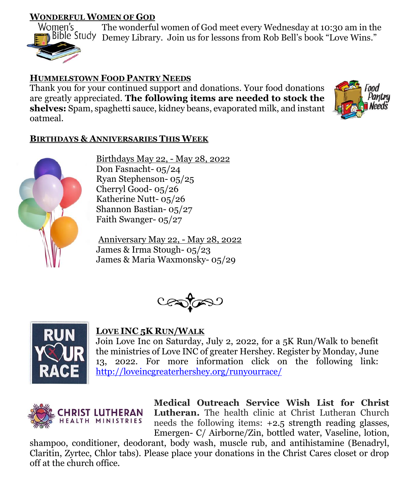## **WONDERFUL WOMEN OF GOD**



The wonderful women of God meet every Wednesday at 10:30 am in the Demey Library. Join us for lessons from Rob Bell's book "Love Wins."

## **HUMMELSTOWN FOOD PANTRY NEEDS**

Thank you for your continued support and donations. Your food donations are greatly appreciated. **The following items are needed to stock the shelves:** Spam, spaghetti sauce, kidney beans, evaporated milk, and instant oatmeal.



### **BIRTHDAYS & ANNIVERSARIES THIS WEEK**



Birthdays May 22, - May 28, 2022 Don Fasnacht- 05/24 Ryan Stephenson- 05/25 Cherryl Good- 05/26 Katherine Nutt- 05/26 Shannon Bastian- 05/27 Faith Swanger- 05/27

Anniversary May 22, - May 28, 2022 James & Irma Stough- 05/23 James & Maria Waxmonsky- 05/29





#### **LOVE INC 5K RUN/WALK**

Join Love Inc on Saturday, July 2, 2022, for a 5K Run/Walk to benefit the ministries of Love INC of greater Hershey. Register by Monday, June 13, 2022. For more information click on the following link: <http://loveincgreaterhershey.org/runyourrace/>



**Medical Outreach Service Wish List for Christ Lutheran.** The health clinic at Christ Lutheran Church needs the following items: +2.5 strength reading glasses, Emergen- C/ Airborne/Zin, bottled water, Vaseline, lotion,

shampoo, conditioner, deodorant, body wash, muscle rub, and antihistamine (Benadryl, Claritin, Zyrtec, Chlor tabs). Please place your donations in the Christ Cares closet or drop off at the church office.